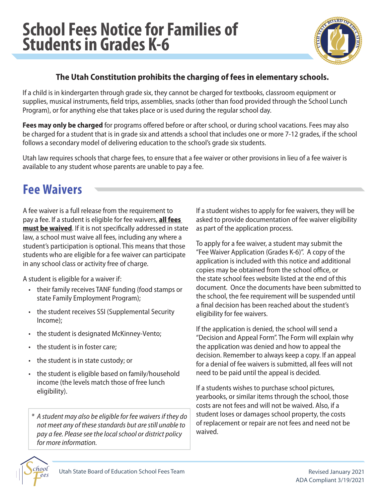

## **The Utah Constitution prohibits the charging of fees in elementary schools.**

If a child is in kindergarten through grade six, they cannot be charged for textbooks, classroom equipment or supplies, musical instruments, field trips, assemblies, snacks (other than food provided through the School Lunch Program), or for anything else that takes place or is used during the regular school day.

**Fees may only be charged** for programs offered before or after school, or during school vacations. Fees may also be charged for a student that is in grade six and attends a school that includes one or more 7-12 grades, if the school follows a secondary model of delivering education to the school's grade six students.

Utah law requires schools that charge fees, to ensure that a fee waiver or other provisions in lieu of a fee waiver is available to any student whose parents are unable to pay a fee.

## **Fee Waivers**

A fee waiver is a full release from the requirement to pay a fee. If a student is eligible for fee waivers, **all fees must be waived**. If it is not specifically addressed in state law, a school must waive all fees, including any where a student's participation is optional. This means that those students who are eligible for a fee waiver can participate in any school class or activity free of charge.

A student is eligible for a waiver if:

- their family receives TANF funding (food stamps or state Family Employment Program);
- the student receives SSI (Supplemental Security Income);
- the student is designated McKinney-Vento;
- the student is in foster care;
- the student is in state custody; or
- the student is eligible based on family/household income (the levels match those of free lunch eligibility).

*\* A student may also be eligible for fee waivers if they do not meet any of these standards but are still unable to pay a fee. Please see the local school or district policy for more information.*

If a student wishes to apply for fee waivers, they will be asked to provide documentation of fee waiver eligibility as part of the application process.

To apply for a fee waiver, a student may submit the "Fee Waiver Application (Grades K-6)". A copy of the application is included with this notice and additional copies may be obtained from the school office, or the state school fees website listed at the end of this document. Once the documents have been submitted to the school, the fee requirement will be suspended until a final decision has been reached about the student's eligibility for fee waivers.

If the application is denied, the school will send a "Decision and Appeal Form". The Form will explain why the application was denied and how to appeal the decision. Remember to always keep a copy. If an appeal for a denial of fee waivers is submitted, all fees will not need to be paid until the appeal is decided.

If a students wishes to purchase school pictures, yearbooks, or similar items through the school, those costs are not fees and will not be waived. Also, if a student loses or damages school property, the costs of replacement or repair are not fees and need not be waived.